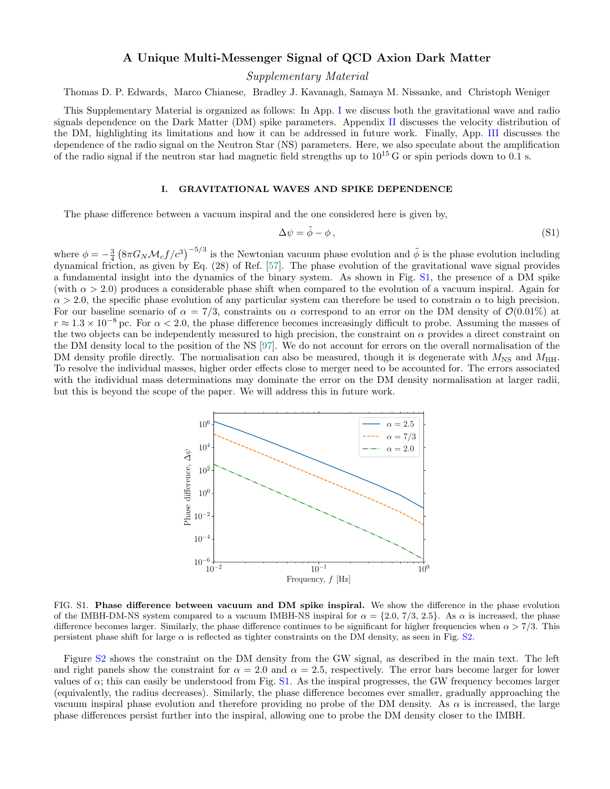## A Unique Multi-Messenger Signal of QCD Axion Dark Matter

Supplementary Material

Thomas D. P. Edwards, Marco Chianese, Bradley J. Kavanagh, Samaya M. Nissanke, and Christoph Weniger

This Supplementary Material is organized as follows: In App. [I](#page-0-0) we discuss both the gravitational wave and radio signals dependence on the Dark Matter (DM) spike parameters. Appendix [II](#page-2-0) discusses the velocity distribution of the DM, highlighting its limitations and how it can be addressed in future work. Finally, App. [III](#page-3-0) discusses the dependence of the radio signal on the Neutron Star (NS) parameters. Here, we also speculate about the amplification of the radio signal if the neutron star had magnetic field strengths up to  $10^{15}$  G or spin periods down to 0.1 s.

## <span id="page-0-0"></span>I. GRAVITATIONAL WAVES AND SPIKE DEPENDENCE

The phase difference between a vacuum inspiral and the one considered here is given by,

$$
\Delta \psi = \tilde{\phi} - \phi, \qquad (S1)
$$

where  $\phi = -\frac{3}{4} \left( 8\pi G_N \mathcal{M}_c f/c^3 \right)^{-5/3}$  is the Newtonian vacuum phase evolution and  $\tilde{\phi}$  is the phase evolution including dynamical friction, as given by Eq. (28) of Ref. [\[57\]](#page-5-0). The phase evolution of the gravitational wave signal provides a fundamental insight into the dynamics of the binary system. As shown in Fig. [S1,](#page-0-1) the presence of a DM spike (with  $\alpha > 2.0$ ) produces a considerable phase shift when compared to the evolution of a vacuum inspiral. Again for  $\alpha > 2.0$ , the specific phase evolution of any particular system can therefore be used to constrain  $\alpha$  to high precision. For our baseline scenario of  $\alpha = 7/3$ , constraints on  $\alpha$  correspond to an error on the DM density of  $\mathcal{O}(0.01\%)$  at  $r \approx 1.3 \times 10^{-8}$  pc. For  $\alpha < 2.0$ , the phase difference becomes increasingly difficult to probe. Assuming the masses of the two objects can be independently measured to high precision, the constraint on  $\alpha$  provides a direct constraint on the DM density local to the position of the NS [\[97\]](#page-6-0). We do not account for errors on the overall normalisation of the DM density profile directly. The normalisation can also be measured, though it is degenerate with  $M_{\rm NS}$  and  $M_{\rm BH}$ . To resolve the individual masses, higher order effects close to merger need to be accounted for. The errors associated with the individual mass determinations may dominate the error on the DM density normalisation at larger radii, but this is beyond the scope of the paper. We will address this in future work.



<span id="page-0-1"></span>FIG. S1. Phase difference between vacuum and DM spike inspiral. We show the difference in the phase evolution of the IMBH-DM-NS system compared to a vacuum IMBH-NS inspiral for  $\alpha = \{2.0, 7/3, 2.5\}$ . As  $\alpha$  is increased, the phase difference becomes larger. Similarly, the phase difference continues to be significant for higher frequencies when  $\alpha > 7/3$ . This persistent phase shift for large  $\alpha$  is reflected as tighter constraints on the DM density, as seen in Fig. [S2.](#page-1-0)

Figure [S2](#page-1-0) shows the constraint on the DM density from the GW signal, as described in the main text. The left and right panels show the constraint for  $\alpha = 2.0$  and  $\alpha = 2.5$ , respectively. The error bars become larger for lower values of  $\alpha$ ; this can easily be understood from Fig. [S1.](#page-0-1) As the inspiral progresses, the GW frequency becomes larger (equivalently, the radius decreases). Similarly, the phase difference becomes ever smaller, gradually approaching the vacuum inspiral phase evolution and therefore providing no probe of the DM density. As  $\alpha$  is increased, the large phase differences persist further into the inspiral, allowing one to probe the DM density closer to the IMBH.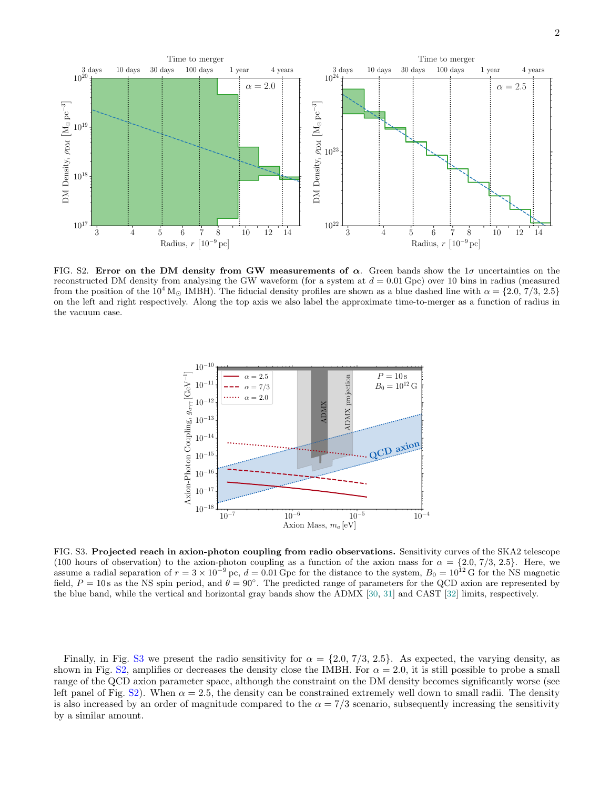

<span id="page-1-0"></span>FIG. S2. Error on the DM density from GW measurements of  $\alpha$ . Green bands show the  $1\sigma$  uncertainties on the reconstructed DM density from analysing the GW waveform (for a system at  $d = 0.01$  Gpc) over 10 bins in radius (measured from the position of the  $10^4$  M<sub>o</sub> IMBH). The fiducial density profiles are shown as a blue dashed line with  $\alpha = \{2.0, 7/3, 2.5\}$ on the left and right respectively. Along the top axis we also label the approximate time-to-merger as a function of radius in the vacuum case.



<span id="page-1-1"></span>FIG. S3. Projected reach in axion-photon coupling from radio observations. Sensitivity curves of the SKA2 telescope (100 hours of observation) to the axion-photon coupling as a function of the axion mass for  $\alpha = \{2.0, 7/3, 2.5\}$ . Here, we assume a radial separation of  $r = 3 \times 10^{-9}$  pc,  $d = 0.01$  Gpc for the distance to the system,  $B_0 = 10^{12}$  G for the NS magnetic field,  $P = 10$  s as the NS spin period, and  $\theta = 90^{\circ}$ . The predicted range of parameter the blue band, while the vertical and horizontal gray bands show the ADMX [\[30,](#page-4-0) [31\]](#page-4-1) and CAST [\[32\]](#page-4-2) limits, respectively.

Finally, in Fig. [S3](#page-1-1) we present the radio sensitivity for  $\alpha = \{2.0, 7/3, 2.5\}$ . As expected, the varying density, as shown in Fig. [S2,](#page-1-0) amplifies or decreases the density close the IMBH. For  $\alpha = 2.0$ , it is still possible to probe a small range of the QCD axion parameter space, although the constraint on the DM density becomes significantly worse (see left panel of Fig.  $S2$ ). When  $\alpha = 2.5$ , the density can be constrained extremely well down to small radii. The density is also increased by an order of magnitude compared to the  $\alpha = \frac{7}{3}$  scenario, subsequently increasing the sensitivity by a similar amount.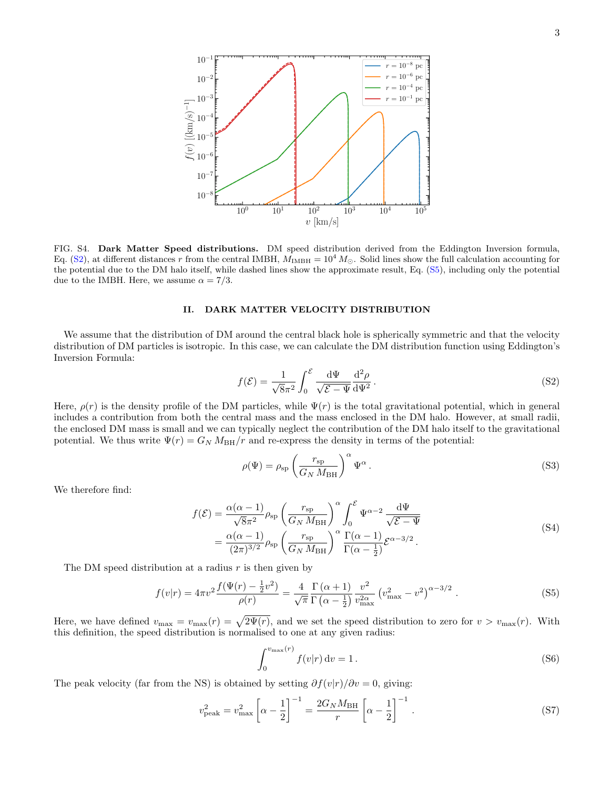

<span id="page-2-3"></span>FIG. S4. Dark Matter Speed distributions. DM speed distribution derived from the Eddington Inversion formula, Eq. [\(S2\)](#page-2-1), at different distances r from the central IMBH,  $M_{\text{IMBH}} = 10^4 M_{\odot}$ . Solid lines show the full calculation accounting for the potential due to the DM halo itself, while dashed lines show the approximate result, Eq. [\(S5\)](#page-2-2), including only the potential due to the IMBH. Here, we assume  $\alpha = 7/3$ .

## <span id="page-2-0"></span>II. DARK MATTER VELOCITY DISTRIBUTION

We assume that the distribution of DM around the central black hole is spherically symmetric and that the velocity distribution of DM particles is isotropic. In this case, we can calculate the DM distribution function using Eddington's Inversion Formula:

<span id="page-2-1"></span>
$$
f(\mathcal{E}) = \frac{1}{\sqrt{8}\pi^2} \int_0^{\mathcal{E}} \frac{\mathrm{d}\Psi}{\sqrt{\mathcal{E} - \Psi}} \frac{\mathrm{d}^2 \rho}{\mathrm{d}\Psi^2} \,. \tag{S2}
$$

Here,  $\rho(r)$  is the density profile of the DM particles, while  $\Psi(r)$  is the total gravitational potential, which in general includes a contribution from both the central mass and the mass enclosed in the DM halo. However, at small radii, the enclosed DM mass is small and we can typically neglect the contribution of the DM halo itself to the gravitational potential. We thus write  $\Psi(r) = G_N M_{BH}/r$  and re-express the density in terms of the potential:

<span id="page-2-4"></span>
$$
\rho(\Psi) = \rho_{sp} \left( \frac{r_{sp}}{G_N M_{BH}} \right)^{\alpha} \Psi^{\alpha} . \tag{S3}
$$

We therefore find:

$$
f(\mathcal{E}) = \frac{\alpha(\alpha - 1)}{\sqrt{8\pi^2}} \rho_{sp} \left(\frac{r_{sp}}{G_N M_{BH}}\right)^{\alpha} \int_0^{\mathcal{E}} \Psi^{\alpha - 2} \frac{d\Psi}{\sqrt{\mathcal{E} - \Psi}}
$$
  
= 
$$
\frac{\alpha(\alpha - 1)}{(2\pi)^{3/2}} \rho_{sp} \left(\frac{r_{sp}}{G_N M_{BH}}\right)^{\alpha} \frac{\Gamma(\alpha - 1)}{\Gamma(\alpha - \frac{1}{2})} \mathcal{E}^{\alpha - 3/2}.
$$
 (S4)

The DM speed distribution at a radius  $r$  is then given by

$$
f(v|r) = 4\pi v^2 \frac{f(\Psi(r) - \frac{1}{2}v^2)}{\rho(r)} = \frac{4}{\sqrt{\pi}} \frac{\Gamma(\alpha + 1)}{\Gamma(\alpha - \frac{1}{2})} \frac{v^2}{v_{\text{max}}^2} (v_{\text{max}}^2 - v^2)^{\alpha - 3/2} . \tag{S5}
$$

Here, we have defined  $v_{\text{max}} = v_{\text{max}}(r) = \sqrt{2\Psi(r)}$ , and we set the speed distribution to zero for  $v > v_{\text{max}}(r)$ . With this definition, the speed distribution is normalised to one at any given radius:

<span id="page-2-2"></span>
$$
\int_0^{v_{\text{max}}(r)} f(v|r) dv = 1.
$$
\n(S6)

The peak velocity (far from the NS) is obtained by setting  $\partial f(v|r)/\partial v = 0$ , giving:

$$
v_{\text{peak}}^2 = v_{\text{max}}^2 \left[ \alpha - \frac{1}{2} \right]^{-1} = \frac{2G_N M_{\text{BH}}}{r} \left[ \alpha - \frac{1}{2} \right]^{-1} . \tag{S7}
$$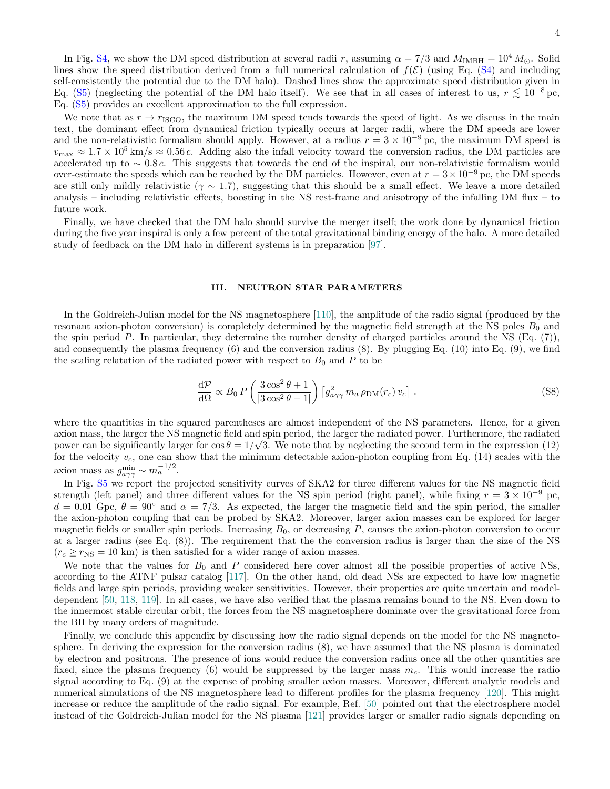In Fig. [S4,](#page-2-3) we show the DM speed distribution at several radii r, assuming  $\alpha = 7/3$  and  $M_{\text{IMBH}} = 10^4 M_{\odot}$ . Solid lines show the speed distribution derived from a full numerical calculation of  $f(\mathcal{E})$  (using Eq. [\(S4\)](#page-2-4) and including self-consistently the potential due to the DM halo). Dashed lines show the approximate speed distribution given in Eq. [\(S5\)](#page-2-2) (neglecting the potential of the DM halo itself). We see that in all cases of interest to us,  $r \lesssim 10^{-8}$  pc, Eq. [\(S5\)](#page-2-2) provides an excellent approximation to the full expression.

We note that as  $r \to r_{\text{ISCO}}$ , the maximum DM speed tends towards the speed of light. As we discuss in the main text, the dominant effect from dynamical friction typically occurs at larger radii, where the DM speeds are lower and the non-relativistic formalism should apply. However, at a radius  $r = 3 \times 10^{-9}$  pc, the maximum DM speed is  $v_{\text{max}} \approx 1.7 \times 10^5 \text{ km/s} \approx 0.56 c$ . Adding also the infall velocity toward the conversion radius, the DM particles are accelerated up to  $\sim 0.8 c$ . This suggests that towards the end of the inspiral, our non-relativistic formalism would over-estimate the speeds which can be reached by the DM particles. However, even at  $r = 3 \times 10^{-9}$  pc, the DM speeds are still only mildly relativistic ( $\gamma \sim 1.7$ ), suggesting that this should be a small effect. We leave a more detailed analysis – including relativistic effects, boosting in the NS rest-frame and anisotropy of the infalling DM flux – to future work.

Finally, we have checked that the DM halo should survive the merger itself; the work done by dynamical friction during the five year inspiral is only a few percent of the total gravitational binding energy of the halo. A more detailed study of feedback on the DM halo in different systems is in preparation [\[97\]](#page-6-0).

## <span id="page-3-0"></span>III. NEUTRON STAR PARAMETERS

In the Goldreich-Julian model for the NS magnetosphere [\[110\]](#page-6-1), the amplitude of the radio signal (produced by the resonant axion-photon conversion) is completely determined by the magnetic field strength at the NS poles  $B_0$  and the spin period P. In particular, they determine the number density of charged particles around the NS (Eq. (7)), and consequently the plasma frequency (6) and the conversion radius (8). By plugging Eq. (10) into Eq. (9), we find the scaling relatation of the radiated power with respect to  $B_0$  and P to be

$$
\frac{\mathrm{d}\mathcal{P}}{\mathrm{d}\Omega} \propto B_0 \, P \left( \frac{3\cos^2\theta + 1}{|3\cos^2\theta - 1|} \right) \left[ g_{a\gamma\gamma}^2 \, m_a \, \rho_{\text{DM}}(r_c) \, v_c \right] \,. \tag{S8}
$$

where the quantities in the squared parentheses are almost independent of the NS parameters. Hence, for a given axion mass, the larger the NS magnetic field and spin period, the larger the radiated power. Furthermore, the radiated power can be significantly larger for  $\cos \theta = 1/\sqrt{3}$ . We note that by neglecting the second term in the expression (12) for the velocity  $v_c$ , one can show that the minimum detectable axion-photon coupling from Eq. (14) scales with the axion mass as  $g_{a\gamma\gamma}^{\min} \sim m_a^{-1/2}$ .

In Fig. [S5](#page-4-3) we report the projected sensitivity curves of SKA2 for three different values for the NS magnetic field strength (left panel) and three different values for the NS spin period (right panel), while fixing  $r = 3 \times 10^{-9}$  pc,  $d = 0.01$  Gpc,  $\theta = 90^{\circ}$  and  $\alpha = 7/3$ . As expected, the larger the magnetic field and the spin period, the smaller the axion-photon coupling that can be probed by SKA2. Moreover, larger axion masses can be explored for larger magnetic fields or smaller spin periods. Increasing  $B_0$ , or decreasing  $P$ , causes the axion-photon conversion to occur at a larger radius (see Eq. (8)). The requirement that the the conversion radius is larger than the size of the NS  $(r_c \ge r_{\rm NS} = 10 \text{ km})$  is then satisfied for a wider range of axion masses.

We note that the values for  $B_0$  and P considered here cover almost all the possible properties of active NSs, according to the ATNF pulsar catalog [\[117\]](#page-6-2). On the other hand, old dead NSs are expected to have low magnetic fields and large spin periods, providing weaker sensitivities. However, their properties are quite uncertain and modeldependent [\[50,](#page-5-1) [118,](#page-6-3) [119\]](#page-6-4). In all cases, we have also verified that the plasma remains bound to the NS. Even down to the innermost stable circular orbit, the forces from the NS magnetosphere dominate over the gravitational force from the BH by many orders of magnitude.

Finally, we conclude this appendix by discussing how the radio signal depends on the model for the NS magnetosphere. In deriving the expression for the conversion radius (8), we have assumed that the NS plasma is dominated by electron and positrons. The presence of ions would reduce the conversion radius once all the other quantities are fixed, since the plasma frequency (6) would be suppressed by the larger mass  $m_c$ . This would increase the radio signal according to Eq. (9) at the expense of probing smaller axion masses. Moreover, different analytic models and numerical simulations of the NS magnetosphere lead to different profiles for the plasma frequency [\[120\]](#page-6-5). This might increase or reduce the amplitude of the radio signal. For example, Ref. [\[50\]](#page-5-1) pointed out that the electrosphere model instead of the Goldreich-Julian model for the NS plasma [\[121\]](#page-6-6) provides larger or smaller radio signals depending on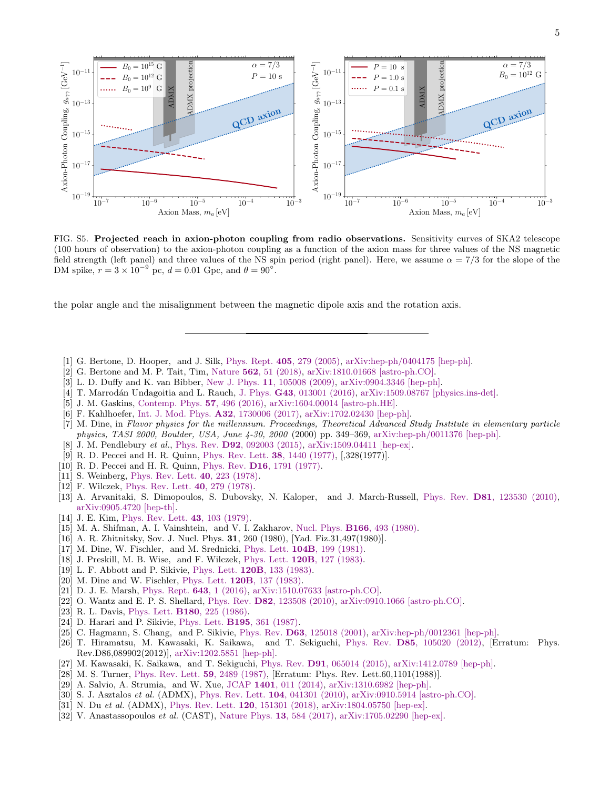

<span id="page-4-3"></span>FIG. S5. Projected reach in axion-photon coupling from radio observations. Sensitivity curves of SKA2 telescope (100 hours of observation) to the axion-photon coupling as a function of the axion mass for three values of the NS magnetic field strength (left panel) and three values of the NS spin period (right panel). Here, we assume  $\alpha = 7/3$  for the slope of the DM spike,  $r = 3 \times 10^{-9}$  pc,  $d = 0.01$  Gpc, and  $\theta = 90^{\circ}$ .

the polar angle and the misalignment between the magnetic dipole axis and the rotation axis.

- [1] G. Bertone, D. Hooper, and J. Silk, Phys. Rept. 405[, 279 \(2005\),](http://dx.doi.org/10.1016/j.physrep.2004.08.031) [arXiv:hep-ph/0404175 \[hep-ph\].](http://arxiv.org/abs/hep-ph/0404175)
- [2] G. Bertone and M. P. Tait, Tim, Nature 562[, 51 \(2018\),](http://dx.doi.org/10.1038/s41586-018-0542-z) [arXiv:1810.01668 \[astro-ph.CO\].](http://arxiv.org/abs/1810.01668)
- [3] L. D. Duffy and K. van Bibber, New J. Phys. 11[, 105008 \(2009\),](http://dx.doi.org/10.1088/1367-2630/11/10/105008) [arXiv:0904.3346 \[hep-ph\].](http://arxiv.org/abs/0904.3346)
- [4] T. Marrodán Undagoitia and L. Rauch, J. Phys. G43[, 013001 \(2016\),](http://dx.doi.org/10.1088/0954-3899/43/1/013001) [arXiv:1509.08767 \[physics.ins-det\].](http://arxiv.org/abs/1509.08767)
- [5] J. M. Gaskins, [Contemp. Phys.](http://dx.doi.org/10.1080/00107514.2016.1175160) 57, 496 (2016), [arXiv:1604.00014 \[astro-ph.HE\].](http://arxiv.org/abs/1604.00014)
- [6] F. Kahlhoefer, [Int. J. Mod. Phys.](http://dx.doi.org/10.1142/S0217751X1730006X) A32, 1730006 (2017), [arXiv:1702.02430 \[hep-ph\].](http://arxiv.org/abs/1702.02430)
- [7] M. Dine, in Flavor physics for the millennium. Proceedings, Theoretical Advanced Study Institute in elementary particle physics, TASI 2000, Boulder, USA, June 4-30, 2000 (2000) pp. 349–369, [arXiv:hep-ph/0011376 \[hep-ph\].](http://arxiv.org/abs/hep-ph/0011376)
- [8] J. M. Pendlebury et al., Phys. Rev. **D92**[, 092003 \(2015\),](http://dx.doi.org/10.1103/PhysRevD.92.092003) [arXiv:1509.04411 \[hep-ex\].](http://arxiv.org/abs/1509.04411)
- [9] R. D. Peccei and H. R. Quinn, [Phys. Rev. Lett.](http://dx.doi.org/10.1103/PhysRevLett.38.1440) 38, 1440 (1977), [,328(1977)].
- [10] R. D. Peccei and H. R. Quinn, Phys. Rev. D16[, 1791 \(1977\).](http://dx.doi.org/10.1103/PhysRevD.16.1791)
- [11] S. Weinberg, [Phys. Rev. Lett.](http://dx.doi.org/10.1103/PhysRevLett.40.223) 40, 223 (1978).
- [12] F. Wilczek, [Phys. Rev. Lett.](http://dx.doi.org/10.1103/PhysRevLett.40.279) 40, 279 (1978).
- [13] A. Arvanitaki, S. Dimopoulos, S. Dubovsky, N. Kaloper, and J. March-Russell, Phys. Rev. D81[, 123530 \(2010\),](http://dx.doi.org/10.1103/PhysRevD.81.123530) [arXiv:0905.4720 \[hep-th\].](http://arxiv.org/abs/0905.4720)
- [14] J. E. Kim, [Phys. Rev. Lett.](http://dx.doi.org/10.1103/PhysRevLett.43.103) 43, 103 (1979).
- [15] M. A. Shifman, A. I. Vainshtein, and V. I. Zakharov, Nucl. Phys. B166[, 493 \(1980\).](http://dx.doi.org/10.1016/0550-3213(80)90209-6)
- [16] A. R. Zhitnitsky, Sov. J. Nucl. Phys. 31, 260 (1980), [Yad. Fiz.31,497(1980)].
- [17] M. Dine, W. Fischler, and M. Srednicki, Phys. Lett. 104B[, 199 \(1981\).](http://dx.doi.org/10.1016/0370-2693(81)90590-6)
- [18] J. Preskill, M. B. Wise, and F. Wilczek, Phys. Lett. 120B[, 127 \(1983\).](http://dx.doi.org/10.1016/0370-2693(83)90637-8)
- [19] L. F. Abbott and P. Sikivie, Phys. Lett. 120B[, 133 \(1983\).](http://dx.doi.org/10.1016/0370-2693(83)90638-X)
- [20] M. Dine and W. Fischler, Phys. Lett. **120B**[, 137 \(1983\).](http://dx.doi.org/10.1016/0370-2693(83)90639-1)
- [21] D. J. E. Marsh, [Phys. Rept.](http://dx.doi.org/10.1016/j.physrep.2016.06.005) 643, 1 (2016), [arXiv:1510.07633 \[astro-ph.CO\].](http://arxiv.org/abs/1510.07633)
- [22] O. Wantz and E. P. S. Shellard, Phys. Rev. D82[, 123508 \(2010\),](http://dx.doi.org/10.1103/PhysRevD.82.123508) [arXiv:0910.1066 \[astro-ph.CO\].](http://arxiv.org/abs/0910.1066)
- [23] R. L. Davis, Phys. Lett. **B180**[, 225 \(1986\).](http://dx.doi.org/10.1016/0370-2693(86)90300-X)
- [24] D. Harari and P. Sikivie, Phys. Lett. B195[, 361 \(1987\).](http://dx.doi.org/10.1016/0370-2693(87)90032-3)
- [25] C. Hagmann, S. Chang, and P. Sikivie, Phys. Rev. D63[, 125018 \(2001\),](http://dx.doi.org/10.1103/PhysRevD.63.125018) [arXiv:hep-ph/0012361 \[hep-ph\].](http://arxiv.org/abs/hep-ph/0012361)
- [26] T. Hiramatsu, M. Kawasaki, K. Saikawa, and T. Sekiguchi, Phys. Rev. D85[, 105020 \(2012\),](http://dx.doi.org/10.1103/PhysRevD.86.089902, 10.1103/PhysRevD.85.105020) [Erratum: Phys. Rev.D86,089902(2012)], [arXiv:1202.5851 \[hep-ph\].](http://arxiv.org/abs/1202.5851)
- [27] M. Kawasaki, K. Saikawa, and T. Sekiguchi, Phys. Rev. D91[, 065014 \(2015\),](http://dx.doi.org/10.1103/PhysRevD.91.065014) [arXiv:1412.0789 \[hep-ph\].](http://arxiv.org/abs/1412.0789)
- [28] M. S. Turner, [Phys. Rev. Lett.](http://dx.doi.org/10.1103/PhysRevLett.59.2489, 10.1103/PhysRevLett.60.1101.3) 59, 2489 (1987), [Erratum: Phys. Rev. Lett.60,1101(1988)].
- [29] A. Salvio, A. Strumia, and W. Xue, JCAP 1401[, 011 \(2014\),](http://dx.doi.org/10.1088/1475-7516/2014/01/011) [arXiv:1310.6982 \[hep-ph\].](http://arxiv.org/abs/1310.6982)
- <span id="page-4-0"></span>[30] S. J. Asztalos et al. (ADMX), [Phys. Rev. Lett.](http://dx.doi.org/10.1103/PhysRevLett.104.041301) 104, 041301 (2010), [arXiv:0910.5914 \[astro-ph.CO\].](http://arxiv.org/abs/0910.5914)
- <span id="page-4-1"></span>[31] N. Du et al. (ADMX), [Phys. Rev. Lett.](http://dx.doi.org/ 10.1103/PhysRevLett.120.151301) 120, 151301 (2018), [arXiv:1804.05750 \[hep-ex\].](http://arxiv.org/abs/1804.05750)
- <span id="page-4-2"></span>[32] V. Anastassopoulos et al. (CAST), [Nature Phys.](http://dx.doi.org/10.1038/nphys4109)  $13,584$  (2017), [arXiv:1705.02290 \[hep-ex\].](http://arxiv.org/abs/1705.02290)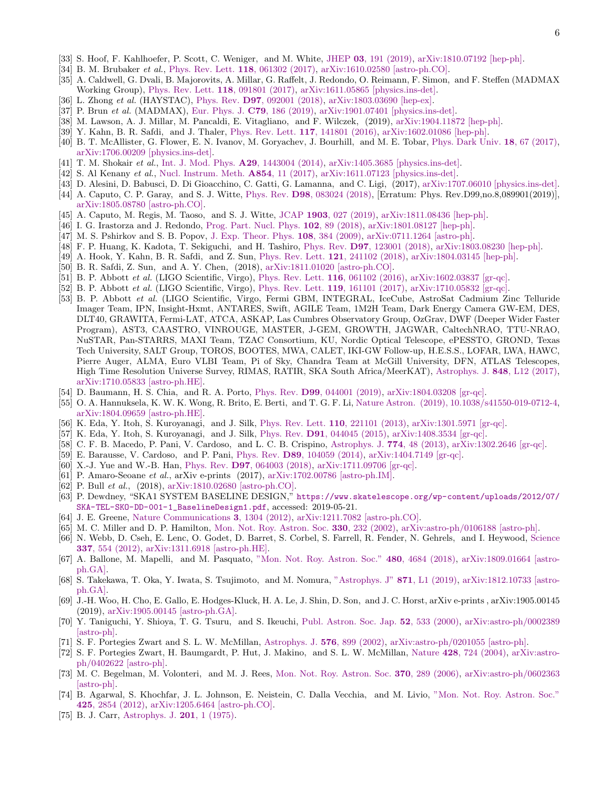- [33] S. Hoof, F. Kahlhoefer, P. Scott, C. Weniger, and M. White, JHEP 03[, 191 \(2019\),](http://dx.doi.org/ 10.1007/JHEP03(2019)191) [arXiv:1810.07192 \[hep-ph\].](http://arxiv.org/abs/1810.07192)
- [34] B. M. Brubaker et al., [Phys. Rev. Lett.](http://dx.doi.org/10.1103/PhysRevLett.118.061302) 118, 061302 (2017), [arXiv:1610.02580 \[astro-ph.CO\].](http://arxiv.org/abs/1610.02580)
- [35] A. Caldwell, G. Dvali, B. Majorovits, A. Millar, G. Raffelt, J. Redondo, O. Reimann, F. Simon, and F. Steffen (MADMAX Working Group), [Phys. Rev. Lett.](http://dx.doi.org/10.1103/PhysRevLett.118.091801) 118, 091801 (2017), [arXiv:1611.05865 \[physics.ins-det\].](http://arxiv.org/abs/1611.05865)
- [36] L. Zhong et al. (HAYSTAC), Phys. Rev. D97[, 092001 \(2018\),](http://dx.doi.org/10.1103/PhysRevD.97.092001) [arXiv:1803.03690 \[hep-ex\].](http://arxiv.org/abs/1803.03690)
- [37] P. Brun et al. (MADMAX), [Eur. Phys. J.](http://dx.doi.org/ 10.1140/epjc/s10052-019-6683-x) C79, 186 (2019), [arXiv:1901.07401 \[physics.ins-det\].](http://arxiv.org/abs/1901.07401)
- [38] M. Lawson, A. J. Millar, M. Pancaldi, E. Vitagliano, and F. Wilczek, (2019), [arXiv:1904.11872 \[hep-ph\].](http://arxiv.org/abs/1904.11872)
- [39] Y. Kahn, B. R. Safdi, and J. Thaler, [Phys. Rev. Lett.](http://dx.doi.org/10.1103/PhysRevLett.117.141801) 117, 141801 (2016), [arXiv:1602.01086 \[hep-ph\].](http://arxiv.org/abs/1602.01086)
- [40] B. T. McAllister, G. Flower, E. N. Ivanov, M. Goryachev, J. Bourhill, and M. E. Tobar, [Phys. Dark Univ.](http://dx.doi.org/ 10.1016/j.dark.2017.09.010) 18, 67 (2017), [arXiv:1706.00209 \[physics.ins-det\].](http://arxiv.org/abs/1706.00209)
- [41] T. M. Shokair et al., [Int. J. Mod. Phys.](http://dx.doi.org/10.1142/S0217751X14430040) **A29**, 1443004 (2014), [arXiv:1405.3685 \[physics.ins-det\].](http://arxiv.org/abs/1405.3685)
- [42] S. Al Kenany et al., [Nucl. Instrum. Meth.](http://dx.doi.org/10.1016/j.nima.2017.02.012) **A854**, 11 (2017), [arXiv:1611.07123 \[physics.ins-det\].](http://arxiv.org/abs/1611.07123)
- [43] D. Alesini, D. Babusci, D. Di Gioacchino, C. Gatti, G. Lamanna, and C. Ligi, (2017), [arXiv:1707.06010 \[physics.ins-det\].](http://arxiv.org/abs/1707.06010)
- [44] A. Caputo, C. P. Garay, and S. J. Witte, Phys. Rev. D98[, 083024 \(2018\),](http://dx.doi.org/10.1103/PhysRevD.99.089901, 10.1103/PhysRevD.98.083024) [Erratum: Phys. Rev.D99,no.8,089901(2019)], [arXiv:1805.08780 \[astro-ph.CO\].](http://arxiv.org/abs/1805.08780)
- [45] A. Caputo, M. Regis, M. Taoso, and S. J. Witte, JCAP 1903[, 027 \(2019\),](http://dx.doi.org/ 10.1088/1475-7516/2019/03/027) [arXiv:1811.08436 \[hep-ph\].](http://arxiv.org/abs/1811.08436)
- [46] I. G. Irastorza and J. Redondo, [Prog. Part. Nucl. Phys.](http://dx.doi.org/10.1016/j.ppnp.2018.05.003) 102, 89 (2018), [arXiv:1801.08127 \[hep-ph\].](http://arxiv.org/abs/1801.08127)
- [47] M. S. Pshirkov and S. B. Popov, [J. Exp. Theor. Phys.](http://dx.doi.org/10.1134/S1063776109030030) 108, 384 (2009), [arXiv:0711.1264 \[astro-ph\].](http://arxiv.org/abs/0711.1264)
- [48] F. P. Huang, K. Kadota, T. Sekiguchi, and H. Tashiro, Phys. Rev. D97[, 123001 \(2018\),](http://dx.doi.org/10.1103/PhysRevD.97.123001) [arXiv:1803.08230 \[hep-ph\].](http://arxiv.org/abs/1803.08230)
- [49] A. Hook, Y. Kahn, B. R. Safdi, and Z. Sun, [Phys. Rev. Lett.](http://dx.doi.org/ 10.1103/PhysRevLett.121.241102) 121, 241102 (2018), [arXiv:1804.03145 \[hep-ph\].](http://arxiv.org/abs/1804.03145)
- <span id="page-5-1"></span>[50] B. R. Safdi, Z. Sun, and A. Y. Chen, (2018), [arXiv:1811.01020 \[astro-ph.CO\].](http://arxiv.org/abs/1811.01020)
- [51] B. P. Abbott et al. (LIGO Scientific, Virgo), [Phys. Rev. Lett.](http://dx.doi.org/10.1103/PhysRevLett.116.061102) 116, 061102 (2016), [arXiv:1602.03837 \[gr-qc\].](http://arxiv.org/abs/1602.03837)
- [52] B. P. Abbott et al. (LIGO Scientific, Virgo), [Phys. Rev. Lett.](http://dx.doi.org/10.1103/PhysRevLett.119.161101) 119, 161101 (2017), [arXiv:1710.05832 \[gr-qc\].](http://arxiv.org/abs/1710.05832)
- [53] B. P. Abbott et al. (LIGO Scientific, Virgo, Fermi GBM, INTEGRAL, IceCube, AstroSat Cadmium Zinc Telluride Imager Team, IPN, Insight-Hxmt, ANTARES, Swift, AGILE Team, 1M2H Team, Dark Energy Camera GW-EM, DES, DLT40, GRAWITA, Fermi-LAT, ATCA, ASKAP, Las Cumbres Observatory Group, OzGrav, DWF (Deeper Wider Faster Program), AST3, CAASTRO, VINROUGE, MASTER, J-GEM, GROWTH, JAGWAR, CaltechNRAO, TTU-NRAO, NuSTAR, Pan-STARRS, MAXI Team, TZAC Consortium, KU, Nordic Optical Telescope, ePESSTO, GROND, Texas Tech University, SALT Group, TOROS, BOOTES, MWA, CALET, IKI-GW Follow-up, H.E.S.S., LOFAR, LWA, HAWC, Pierre Auger, ALMA, Euro VLBI Team, Pi of Sky, Chandra Team at McGill University, DFN, ATLAS Telescopes, High Time Resolution Universe Survey, RIMAS, RATIR, SKA South Africa/MeerKAT), [Astrophys. J.](http://dx.doi.org/10.3847/2041-8213/aa91c9) 848, L12 (2017), [arXiv:1710.05833 \[astro-ph.HE\].](http://arxiv.org/abs/1710.05833)
- [54] D. Baumann, H. S. Chia, and R. A. Porto, Phys. Rev. D99[, 044001 \(2019\),](http://dx.doi.org/10.1103/PhysRevD.99.044001) [arXiv:1804.03208 \[gr-qc\].](http://arxiv.org/abs/1804.03208)
- [55] O. A. Hannuksela, K. W. K. Wong, R. Brito, E. Berti, and T. G. F. Li, [Nature Astron. \(2019\), 10.1038/s41550-019-0712-4,](http://dx.doi.org/ 10.1038/s41550-019-0712-4) [arXiv:1804.09659 \[astro-ph.HE\].](http://arxiv.org/abs/1804.09659)
- [56] K. Eda, Y. Itoh, S. Kuroyanagi, and J. Silk, [Phys. Rev. Lett.](http://dx.doi.org/ 10.1103/PhysRevLett.110.221101) 110, 221101 (2013), [arXiv:1301.5971 \[gr-qc\].](http://arxiv.org/abs/1301.5971)
- <span id="page-5-0"></span>[57] K. Eda, Y. Itoh, S. Kuroyanagi, and J. Silk, Phys. Rev. D91[, 044045 \(2015\),](http://dx.doi.org/ 10.1103/PhysRevD.91.044045) [arXiv:1408.3534 \[gr-qc\].](http://arxiv.org/abs/1408.3534)
- [58] C. F. B. Macedo, P. Pani, V. Cardoso, and L. C. B. Crispino, [Astrophys. J.](http://dx.doi.org/10.1088/0004-637X/774/1/48) 774, 48 (2013), [arXiv:1302.2646 \[gr-qc\].](http://arxiv.org/abs/1302.2646)
- [59] E. Barausse, V. Cardoso, and P. Pani, Phys. Rev. D89[, 104059 \(2014\),](http://dx.doi.org/10.1103/PhysRevD.89.104059) [arXiv:1404.7149 \[gr-qc\].](http://arxiv.org/abs/1404.7149)
- [60] X.-J. Yue and W.-B. Han, Phys. Rev. D97[, 064003 \(2018\),](http://dx.doi.org/10.1103/PhysRevD.97.064003) [arXiv:1711.09706 \[gr-qc\].](http://arxiv.org/abs/1711.09706)
- [61] P. Amaro-Seoane et al., arXiv e-prints (2017), [arXiv:1702.00786 \[astro-ph.IM\].](http://arxiv.org/abs/1702.00786)
- [62] P. Bull *et al.*, (2018), [arXiv:1810.02680 \[astro-ph.CO\].](http://arxiv.org/abs/1810.02680)
- [63] P. Dewdney, "SKA1 SYSTEM BASELINE DESIGN," [https://www.skatelescope.org/wp-content/uploads/2012/07/](https://www.skatelescope.org/wp-content/uploads/2012/07/SKA-TEL-SKO-DD-001-1_BaselineDesign1.pdf) [SKA-TEL-SKO-DD-001-1\\_BaselineDesign1.pdf](https://www.skatelescope.org/wp-content/uploads/2012/07/SKA-TEL-SKO-DD-001-1_BaselineDesign1.pdf), accessed: 2019-05-21.
- [64] J. E. Greene, [Nature Communications](http://dx.doi.org/10.1038/ncomms2314) 3, 1304 (2012), [arXiv:1211.7082 \[astro-ph.CO\].](http://arxiv.org/abs/1211.7082)
- [65] M. C. Miller and D. P. Hamilton, [Mon. Not. Roy. Astron. Soc.](http://dx.doi.org/10.1046/j.1365-8711.2002.05112.x) 330, 232 (2002), [arXiv:astro-ph/0106188 \[astro-ph\].](http://arxiv.org/abs/astro-ph/0106188)
- [66] N. Webb, D. Cseh, E. Lenc, O. Godet, D. Barret, S. Corbel, S. Farrell, R. Fender, N. Gehrels, and I. Heywood, [Science](http://dx.doi.org/10.1126/science.1222779) 337[, 554 \(2012\),](http://dx.doi.org/10.1126/science.1222779) [arXiv:1311.6918 \[astro-ph.HE\].](http://arxiv.org/abs/1311.6918)
- [67] A. Ballone, M. Mapelli, and M. Pasquato, ["Mon. Not. Roy. Astron. Soc."](http://dx.doi.org/10.1093/mnras/sty2139) 480, 4684 (2018), [arXiv:1809.01664 \[astro](http://arxiv.org/abs/1809.01664)[ph.GA\].](http://arxiv.org/abs/1809.01664)
- [68] S. Takekawa, T. Oka, Y. Iwata, S. Tsujimoto, and M. Nomura, ["Astrophys. J"](http://dx.doi.org/ 10.3847/2041-8213/aafb07) 871, L1 (2019), [arXiv:1812.10733 \[astro](http://arxiv.org/abs/1812.10733)[ph.GA\].](http://arxiv.org/abs/1812.10733)
- [69] J.-H. Woo, H. Cho, E. Gallo, E. Hodges-Kluck, H. A. Le, J. Shin, D. Son, and J. C. Horst, arXiv e-prints , arXiv:1905.00145 (2019), [arXiv:1905.00145 \[astro-ph.GA\].](http://arxiv.org/abs/1905.00145)
- [70] Y. Taniguchi, Y. Shioya, T. G. Tsuru, and S. Ikeuchi, [Publ. Astron. Soc. Jap.](http://dx.doi.org/10.1093/pasj/52.3.533) 52, 533 (2000), [arXiv:astro-ph/0002389](http://arxiv.org/abs/astro-ph/0002389) [\[astro-ph\].](http://arxiv.org/abs/astro-ph/0002389)
- [71] S. F. Portegies Zwart and S. L. W. McMillan, [Astrophys. J.](http://dx.doi.org/10.1086/341798) 576, 899 (2002), [arXiv:astro-ph/0201055 \[astro-ph\].](http://arxiv.org/abs/astro-ph/0201055)
- [72] S. F. Portegies Zwart, H. Baumgardt, P. Hut, J. Makino, and S. L. W. McMillan, Nature 428[, 724 \(2004\),](http://dx.doi.org/10.1038/nature02448) [arXiv:astro](http://arxiv.org/abs/astro-ph/0402622)[ph/0402622 \[astro-ph\].](http://arxiv.org/abs/astro-ph/0402622)
- [73] M. C. Begelman, M. Volonteri, and M. J. Rees, [Mon. Not. Roy. Astron. Soc.](http://dx.doi.org/10.1111/j.1365-2966.2006.10467.x) 370, 289 (2006), [arXiv:astro-ph/0602363](http://arxiv.org/abs/astro-ph/0602363) [\[astro-ph\].](http://arxiv.org/abs/astro-ph/0602363)
- [74] B. Agarwal, S. Khochfar, J. L. Johnson, E. Neistein, C. Dalla Vecchia, and M. Livio, ["Mon. Not. Roy. Astron. Soc."](http://dx.doi.org/10.1111/j.1365-2966.2012.21651.x) 425[, 2854 \(2012\),](http://dx.doi.org/10.1111/j.1365-2966.2012.21651.x) [arXiv:1205.6464 \[astro-ph.CO\].](http://arxiv.org/abs/1205.6464)
- [75] B. J. Carr, [Astrophys. J.](http://dx.doi.org/10.1086/153853) **201**, 1 (1975).